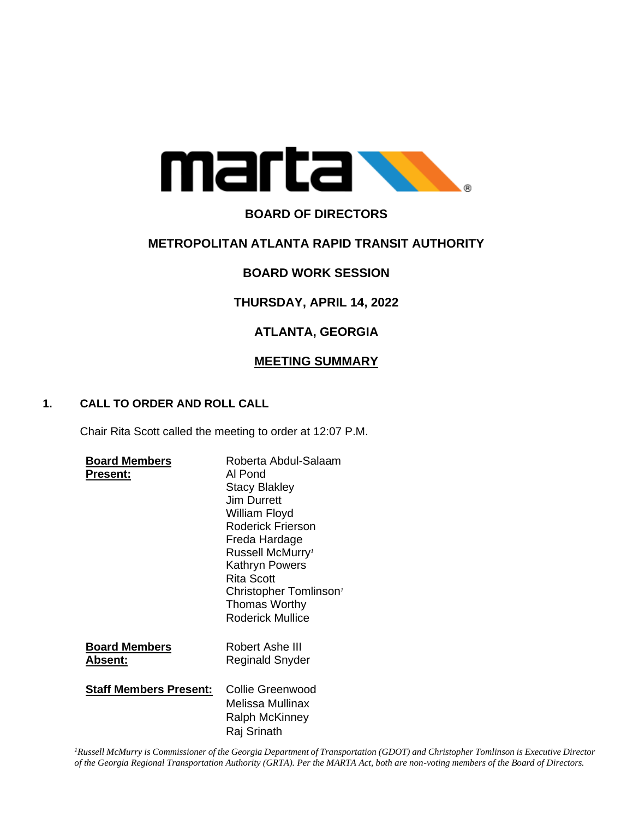

# **BOARD OF DIRECTORS**

## **METROPOLITAN ATLANTA RAPID TRANSIT AUTHORITY**

## **BOARD WORK SESSION**

# **THURSDAY, APRIL 14, 2022**

# **ATLANTA, GEORGIA**

### **MEETING SUMMARY**

### **1. CALL TO ORDER AND ROLL CALL**

Chair Rita Scott called the meeting to order at 12:07 P.M.

| <b>Board Members</b><br>Present:        | Roberta Abdul-Salaam<br>Al Pond<br><b>Stacy Blakley</b><br>Jim Durrett<br>William Floyd<br><b>Roderick Frierson</b><br>Freda Hardage<br>Russell McMurry <sup>1</sup><br>Kathryn Powers<br><b>Rita Scott</b><br>Christopher Tomlinson <sup>1</sup><br>Thomas Worthy<br><b>Roderick Mullice</b> |
|-----------------------------------------|-----------------------------------------------------------------------------------------------------------------------------------------------------------------------------------------------------------------------------------------------------------------------------------------------|
| <b>Board Members</b><br><u> Absent:</u> | Robert Ashe III<br>Reginald Snyder                                                                                                                                                                                                                                                            |
| <b>Staff Members Present:</b>           | Collie Greenwood<br>Melissa Mullinax<br><b>Ralph McKinney</b><br>Raj Srinath                                                                                                                                                                                                                  |

*<sup>1</sup>Russell McMurry is Commissioner of the Georgia Department of Transportation (GDOT) and Christopher Tomlinson is Executive Director of the Georgia Regional Transportation Authority (GRTA). Per the MARTA Act, both are non-voting members of the Board of Directors.*